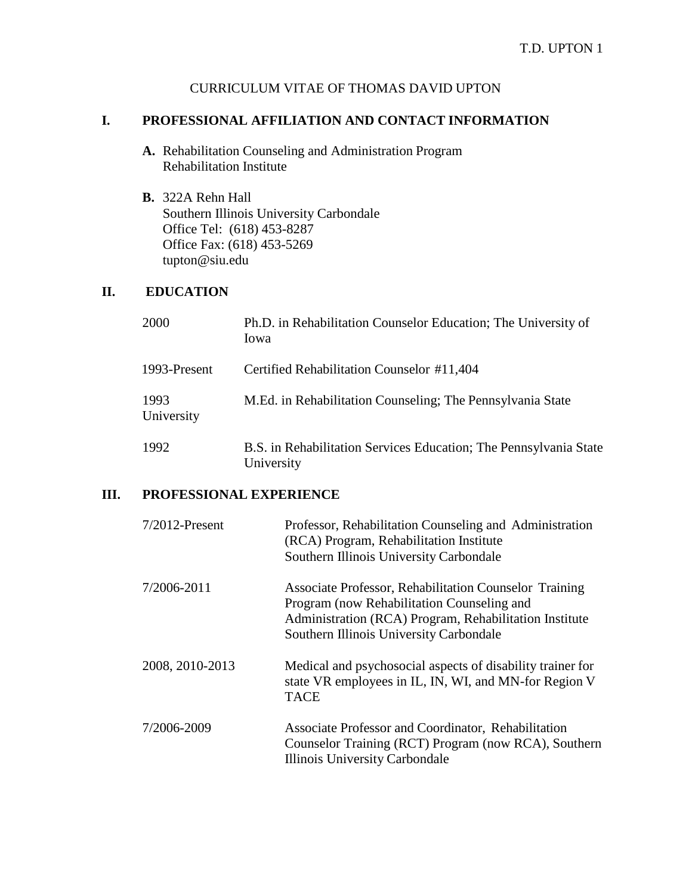## CURRICULUM VITAE OF THOMAS DAVID UPTON

## **I. PROFESSIONAL AFFILIATION AND CONTACT INFORMATION**

- **A.** Rehabilitation Counseling and Administration Program Rehabilitation Institute
- **B.** 322A Rehn Hall Southern Illinois University Carbondale Office Tel: (618) 453-8287 Office Fax: (618) 453-5269 [tupton@siu.edu](mailto:tupton@siu.edu)

### **II. EDUCATION**

| 2000               | Ph.D. in Rehabilitation Counselor Education; The University of<br>Iowa          |
|--------------------|---------------------------------------------------------------------------------|
| 1993-Present       | Certified Rehabilitation Counselor #11,404                                      |
| 1993<br>University | M.Ed. in Rehabilitation Counseling; The Pennsylvania State                      |
| 1992               | B.S. in Rehabilitation Services Education; The Pennsylvania State<br>University |

### **III. PROFESSIONAL EXPERIENCE**

| $7/2012$ -Present | Professor, Rehabilitation Counseling and Administration<br>(RCA) Program, Rehabilitation Institute<br>Southern Illinois University Carbondale                                                             |
|-------------------|-----------------------------------------------------------------------------------------------------------------------------------------------------------------------------------------------------------|
| 7/2006-2011       | Associate Professor, Rehabilitation Counselor Training<br>Program (now Rehabilitation Counseling and<br>Administration (RCA) Program, Rehabilitation Institute<br>Southern Illinois University Carbondale |
| 2008, 2010-2013   | Medical and psychosocial aspects of disability trainer for<br>state VR employees in IL, IN, WI, and MN-for Region V<br><b>TACE</b>                                                                        |
| 7/2006-2009       | Associate Professor and Coordinator, Rehabilitation<br>Counselor Training (RCT) Program (now RCA), Southern<br>Illinois University Carbondale                                                             |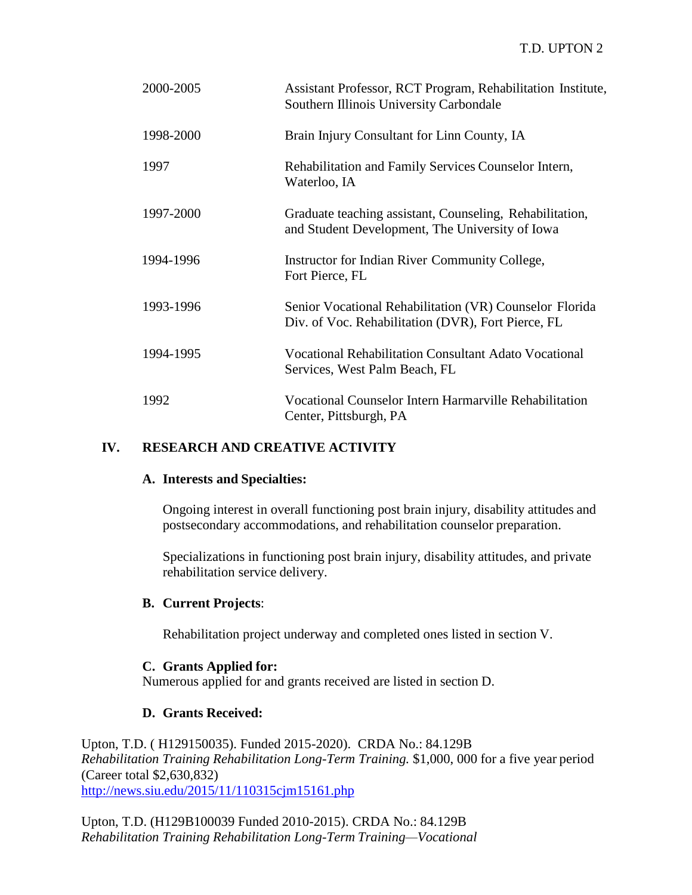| 2000-2005 | Assistant Professor, RCT Program, Rehabilitation Institute,<br>Southern Illinois University Carbondale        |
|-----------|---------------------------------------------------------------------------------------------------------------|
| 1998-2000 | Brain Injury Consultant for Linn County, IA                                                                   |
| 1997      | Rehabilitation and Family Services Counselor Intern,<br>Waterloo, IA                                          |
| 1997-2000 | Graduate teaching assistant, Counseling, Rehabilitation,<br>and Student Development, The University of Iowa   |
| 1994-1996 | Instructor for Indian River Community College,<br>Fort Pierce, FL                                             |
| 1993-1996 | Senior Vocational Rehabilitation (VR) Counselor Florida<br>Div. of Voc. Rehabilitation (DVR), Fort Pierce, FL |
| 1994-1995 | <b>Vocational Rehabilitation Consultant Adato Vocational</b><br>Services, West Palm Beach, FL                 |
| 1992      | Vocational Counselor Intern Harmarville Rehabilitation<br>Center, Pittsburgh, PA                              |

## **IV. RESEARCH AND CREATIVE ACTIVITY**

### **A. Interests and Specialties:**

Ongoing interest in overall functioning post brain injury, disability attitudes and postsecondary accommodations, and rehabilitation counselor preparation.

Specializations in functioning post brain injury, disability attitudes, and private rehabilitation service delivery.

#### **B. Current Projects**:

Rehabilitation project underway and completed ones listed in section V.

#### **C. Grants Applied for:**

Numerous applied for and grants received are listed in section D.

#### **D. Grants Received:**

Upton, T.D. ( H129150035). Funded 2015-2020). CRDA No.: 84.129B *Rehabilitation Training Rehabilitation Long-Term Training.* \$1,000, 000 for a five year period (Career total \$2,630,832) <http://news.siu.edu/2015/11/110315cjm15161.php>

Upton, T.D. (H129B100039 Funded 2010-2015). CRDA No.: 84.129B *Rehabilitation Training Rehabilitation Long-Term Training—Vocational*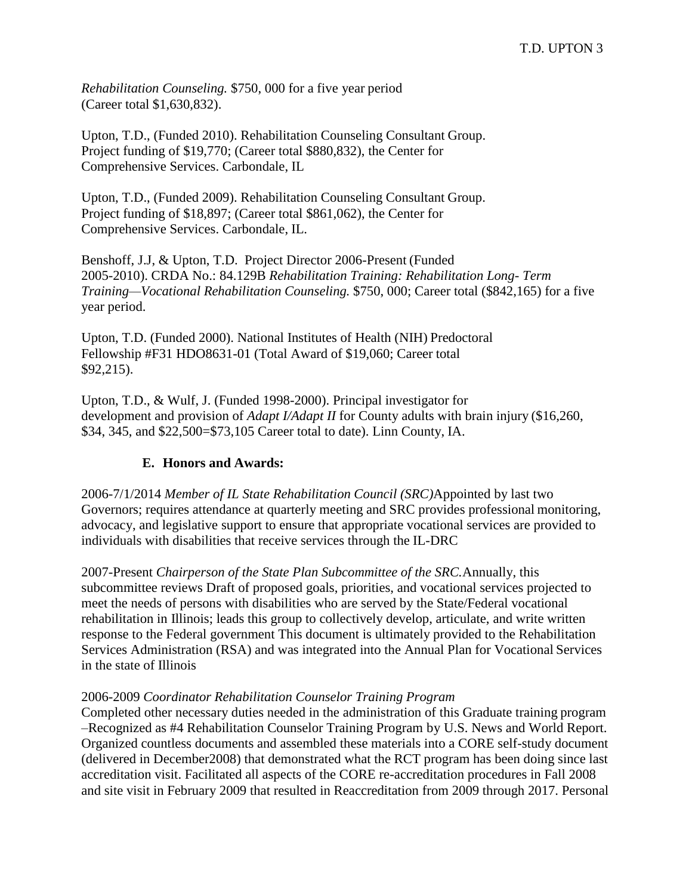*Rehabilitation Counseling.* \$750, 000 for a five year period (Career total \$1,630,832).

Upton, T.D., (Funded 2010). Rehabilitation Counseling Consultant Group. Project funding of \$19,770; (Career total \$880,832), the Center for Comprehensive Services. Carbondale, IL

Upton, T.D., (Funded 2009). Rehabilitation Counseling Consultant Group. Project funding of \$18,897; (Career total \$861,062), the Center for Comprehensive Services. Carbondale, IL.

Benshoff, J.J, & Upton, T.D. Project Director 2006-Present (Funded 2005-2010). CRDA No.: 84.129B *Rehabilitation Training: Rehabilitation Long- Term Training—Vocational Rehabilitation Counseling.* \$750, 000; Career total (\$842,165) for a five year period.

Upton, T.D. (Funded 2000). National Institutes of Health (NIH) Predoctoral Fellowship #F31 HDO8631-01 (Total Award of \$19,060; Career total \$92,215).

Upton, T.D., & Wulf, J. (Funded 1998-2000). Principal investigator for development and provision of *Adapt I/Adapt II* for County adults with brain injury (\$16,260, \$34, 345, and \$22,500=\$73,105 Career total to date). Linn County, IA.

# **E. Honors and Awards:**

2006-7/1/2014 *Member of IL State Rehabilitation Council (SRC)*Appointed by last two Governors; requires attendance at quarterly meeting and SRC provides professional monitoring, advocacy, and legislative support to ensure that appropriate vocational services are provided to individuals with disabilities that receive services through the IL-DRC

2007-Present *Chairperson of the State Plan Subcommittee of the SRC.*Annually, this subcommittee reviews Draft of proposed goals, priorities, and vocational services projected to meet the needs of persons with disabilities who are served by the State/Federal vocational rehabilitation in Illinois; leads this group to collectively develop, articulate, and write written response to the Federal government This document is ultimately provided to the Rehabilitation Services Administration (RSA) and was integrated into the Annual Plan for Vocational Services in the state of Illinois

## 2006-2009 *Coordinator Rehabilitation Counselor Training Program*

Completed other necessary duties needed in the administration of this Graduate training program –Recognized as #4 Rehabilitation Counselor Training Program by U.S. News and World Report. Organized countless documents and assembled these materials into a CORE self-study document (delivered in December2008) that demonstrated what the RCT program has been doing since last accreditation visit. Facilitated all aspects of the CORE re-accreditation procedures in Fall 2008 and site visit in February 2009 that resulted in Reaccreditation from 2009 through 2017. Personal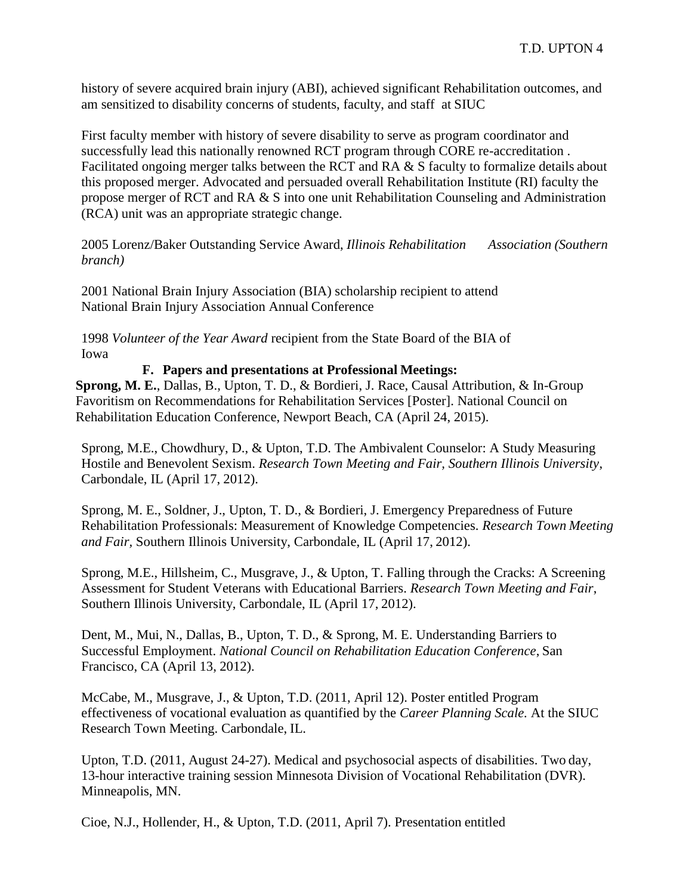history of severe acquired brain injury (ABI), achieved significant Rehabilitation outcomes, and am sensitized to disability concerns of students, faculty, and staff at SIUC

First faculty member with history of severe disability to serve as program coordinator and successfully lead this nationally renowned RCT program through CORE re-accreditation . Facilitated ongoing merger talks between the RCT and RA & S faculty to formalize details about this proposed merger. Advocated and persuaded overall Rehabilitation Institute (RI) faculty the propose merger of RCT and RA & S into one unit Rehabilitation Counseling and Administration (RCA) unit was an appropriate strategic change.

2005 Lorenz/Baker Outstanding Service Award, *Illinois Rehabilitation Association (Southern branch)*

2001 National Brain Injury Association (BIA) scholarship recipient to attend National Brain Injury Association Annual Conference

1998 *Volunteer of the Year Award* recipient from the State Board of the BIA of Iowa

#### **F. Papers and presentations at Professional Meetings:**

**Sprong, M. E.**, Dallas, B., Upton, T. D., & Bordieri, J. Race, Causal Attribution, & In-Group Favoritism on Recommendations for Rehabilitation Services [Poster]. National Council on Rehabilitation Education Conference, Newport Beach, CA (April 24, 2015).

Sprong, M.E., Chowdhury, D., & Upton, T.D. The Ambivalent Counselor: A Study Measuring Hostile and Benevolent Sexism. *Research Town Meeting and Fair, Southern Illinois University*, Carbondale, IL (April 17, 2012).

Sprong, M. E., Soldner, J., Upton, T. D., & Bordieri, J. Emergency Preparedness of Future Rehabilitation Professionals: Measurement of Knowledge Competencies. *Research Town Meeting and Fair,* Southern Illinois University, Carbondale, IL (April 17, 2012).

Sprong, M.E., Hillsheim, C., Musgrave, J., & Upton, T. Falling through the Cracks: A Screening Assessment for Student Veterans with Educational Barriers. *Research Town Meeting and Fair*, Southern Illinois University, Carbondale, IL (April 17, 2012).

Dent, M., Mui, N., Dallas, B., Upton, T. D., & Sprong, M. E. Understanding Barriers to Successful Employment. *National Council on Rehabilitation Education Conference*, San Francisco, CA (April 13, 2012).

McCabe, M., Musgrave, J., & Upton, T.D. (2011, April 12). Poster entitled Program effectiveness of vocational evaluation as quantified by the *Career Planning Scale.* At the SIUC Research Town Meeting. Carbondale, IL.

Upton, T.D. (2011, August 24-27). Medical and psychosocial aspects of disabilities. Two day, 13-hour interactive training session Minnesota Division of Vocational Rehabilitation (DVR). Minneapolis, MN.

Cioe, N.J., Hollender, H., & Upton, T.D. (2011, April 7). Presentation entitled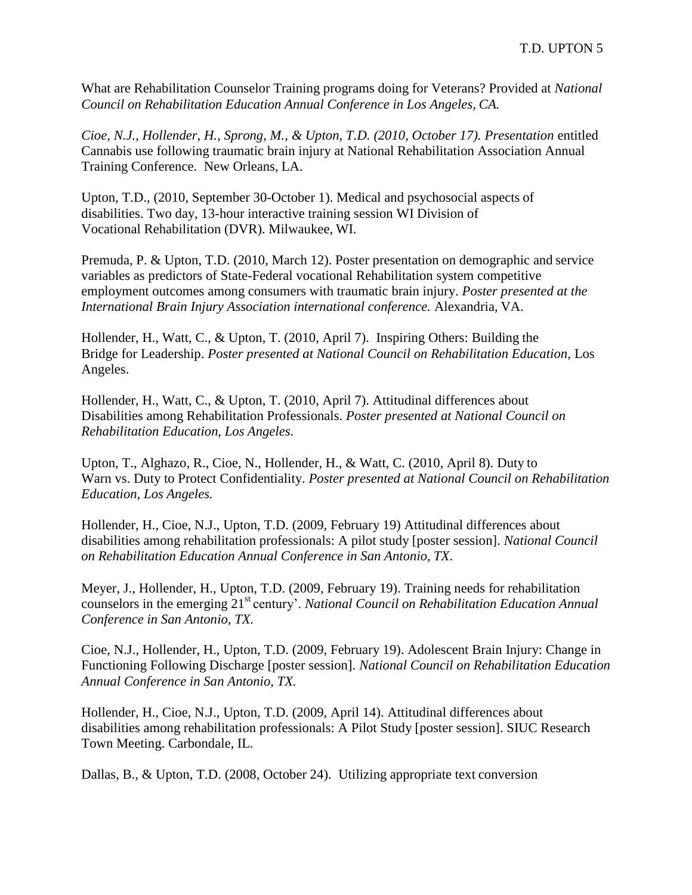What are Rehabilitation Counselor Training programs doing for Veterans? Provided at *National Council on Rehabilitation Education Annual Conference in Los Angeles, CA.*

*Cioe, N.J., Hollender, H., Sprong, M., & Upton, T.D. (2010, October 17). Presentation* entitled Cannabis use following traumatic brain injury at National Rehabilitation Association Annual Training Conference. New Orleans, LA.

Upton, T.D., (2010, September 30-October 1). Medical and psychosocial aspects of disabilities. Two day, 13-hour interactive training session WI Division of Vocational Rehabilitation (DVR). Milwaukee, WI.

Premuda, P. & Upton, T.D. (2010, March 12). Poster presentation on demographic and service variables as predictors of State-Federal vocational Rehabilitation system competitive employment outcomes among consumers with traumatic brain injury. *Poster presented at the International Brain Injury Association international conference.* Alexandria, VA.

Hollender, H., Watt, C., & Upton, T. (2010, April 7). Inspiring Others: Building the Bridge for Leadership. *Poster presented at National Council on Rehabilitation Education,* Los Angeles.

Hollender, H., Watt, C., & Upton, T. (2010, April 7). Attitudinal differences about Disabilities among Rehabilitation Professionals. *Poster presented at National Council on Rehabilitation Education, Los Angeles*.

Upton, T., Alghazo, R., Cioe, N., Hollender, H., & Watt, C. (2010, April 8)*.* Duty to Warn vs. Duty to Protect Confidentiality. *Poster presented at National Council on Rehabilitation Education, Los Angeles.*

Hollender, H., Cioe, N.J., Upton, T.D. (2009, February 19) Attitudinal differences about disabilities among rehabilitation professionals: A pilot study [poster session]. *National Council on Rehabilitation Education Annual Conference in San Antonio, TX*.

Meyer, J., Hollender, H., Upton, T.D. (2009, February 19). Training needs for rehabilitation counselors in the emerging 21st century'. *National Council on Rehabilitation Education Annual Conference in San Antonio, TX.*

Cioe, N.J., Hollender, H., Upton, T.D. (2009, February 19). Adolescent Brain Injury: Change in Functioning Following Discharge [poster session]. *National Council on Rehabilitation Education Annual Conference in San Antonio, TX.*

Hollender, H., Cioe, N.J., Upton, T.D. (2009, April 14). Attitudinal differences about disabilities among rehabilitation professionals: A Pilot Study [poster session]. SIUC Research Town Meeting. Carbondale, IL.

Dallas, B., & Upton, T.D. (2008, October 24). Utilizing appropriate text conversion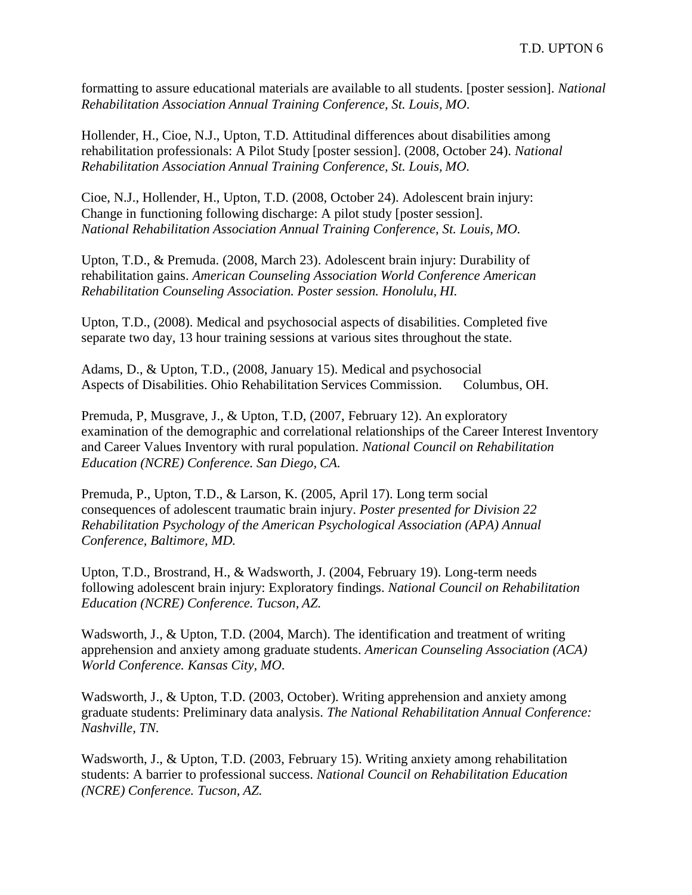formatting to assure educational materials are available to all students. [poster session]. *National Rehabilitation Association Annual Training Conference, St. Louis, MO*.

Hollender, H., Cioe, N.J., Upton, T.D. Attitudinal differences about disabilities among rehabilitation professionals: A Pilot Study [poster session]. (2008, October 24). *National Rehabilitation Association Annual Training Conference, St. Louis, MO.*

Cioe, N.J., Hollender, H., Upton, T.D. (2008, October 24). Adolescent brain injury: Change in functioning following discharge: A pilot study [poster session]. *National Rehabilitation Association Annual Training Conference, St. Louis, MO.*

Upton, T.D., & Premuda. (2008, March 23). Adolescent brain injury: Durability of rehabilitation gains. *American Counseling Association World Conference American Rehabilitation Counseling Association. Poster session. Honolulu, HI.*

Upton, T.D., (2008). Medical and psychosocial aspects of disabilities. Completed five separate two day, 13 hour training sessions at various sites throughout the state.

Adams, D., & Upton, T.D., (2008, January 15). Medical and psychosocial Aspects of Disabilities. Ohio Rehabilitation Services Commission. Columbus, OH.

Premuda, P, Musgrave, J., & Upton, T.D, (2007, February 12). An exploratory examination of the demographic and correlational relationships of the Career Interest Inventory and Career Values Inventory with rural population. *National Council on Rehabilitation Education (NCRE) Conference. San Diego, CA.*

Premuda, P., Upton, T.D., & Larson, K. (2005, April 17). Long term social consequences of adolescent traumatic brain injury. *Poster presented for Division 22 Rehabilitation Psychology of the American Psychological Association (APA) Annual Conference, Baltimore, MD.*

Upton, T.D., Brostrand, H., & Wadsworth, J. (2004, February 19). Long-term needs following adolescent brain injury: Exploratory findings. *National Council on Rehabilitation Education (NCRE) Conference. Tucson, AZ.*

Wadsworth, J., & Upton, T.D. (2004, March). The identification and treatment of writing apprehension and anxiety among graduate students. *American Counseling Association (ACA) World Conference. Kansas City, MO*.

Wadsworth, J., & Upton, T.D. (2003, October). Writing apprehension and anxiety among graduate students: Preliminary data analysis. *The National Rehabilitation Annual Conference: Nashville, TN.*

Wadsworth, J., & Upton, T.D. (2003, February 15). Writing anxiety among rehabilitation students: A barrier to professional success. *National Council on Rehabilitation Education (NCRE) Conference. Tucson, AZ.*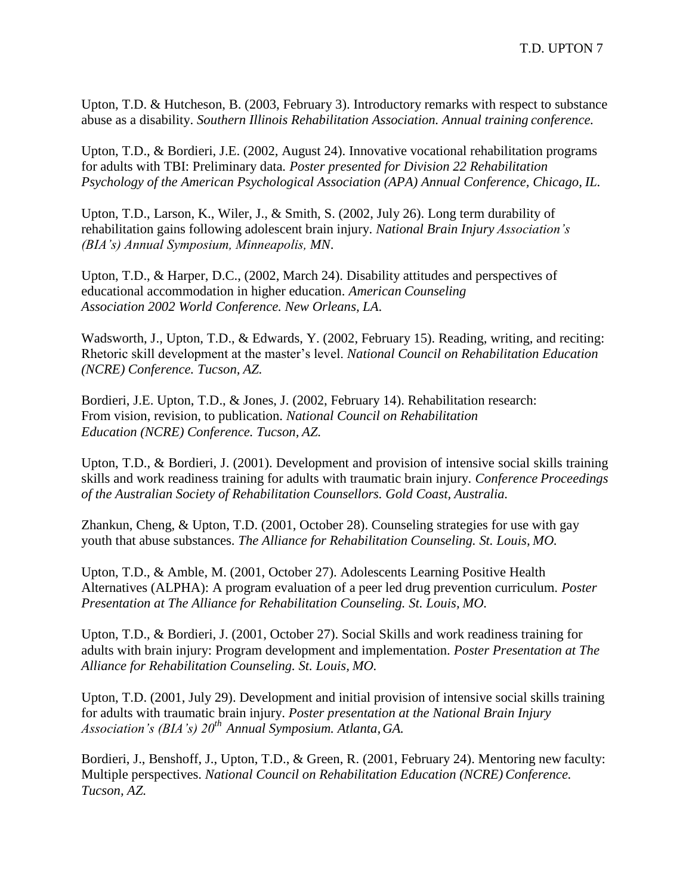Upton, T.D. & Hutcheson, B. (2003, February 3). Introductory remarks with respect to substance abuse as a disability. *Southern Illinois Rehabilitation Association. Annual training conference.*

Upton, T.D., & Bordieri, J.E. (2002, August 24). Innovative vocational rehabilitation programs for adults with TBI: Preliminary data*. Poster presented for Division 22 Rehabilitation Psychology of the American Psychological Association (APA) Annual Conference, Chicago, IL.*

Upton, T.D., Larson, K., Wiler, J., & Smith, S. (2002, July 26). Long term durability of rehabilitation gains following adolescent brain injury. *National Brain Injury Association's (BIA's) Annual Symposium, Minneapolis, MN*.

Upton, T.D., & Harper, D.C., (2002, March 24). Disability attitudes and perspectives of educational accommodation in higher education. *American Counseling Association 2002 World Conference. New Orleans, LA*.

Wadsworth, J., Upton, T.D., & Edwards, Y. (2002, February 15). Reading, writing, and reciting: Rhetoric skill development at the master's level. *National Council on Rehabilitation Education (NCRE) Conference. Tucson, AZ.*

Bordieri, J.E. Upton, T.D., & Jones, J. (2002, February 14). Rehabilitation research: From vision, revision, to publication. *National Council on Rehabilitation Education (NCRE) Conference. Tucson, AZ.*

Upton, T.D., & Bordieri, J. (2001). Development and provision of intensive social skills training skills and work readiness training for adults with traumatic brain injury. *Conference Proceedings of the Australian Society of Rehabilitation Counsellors. Gold Coast, Australia.*

Zhankun, Cheng, & Upton, T.D. (2001, October 28). Counseling strategies for use with gay youth that abuse substances. *The Alliance for Rehabilitation Counseling. St. Louis, MO.*

Upton, T.D., & Amble, M. (2001, October 27). Adolescents Learning Positive Health Alternatives (ALPHA): A program evaluation of a peer led drug prevention curriculum. *Poster Presentation at The Alliance for Rehabilitation Counseling. St. Louis, MO.*

Upton, T.D., & Bordieri, J. (2001, October 27). Social Skills and work readiness training for adults with brain injury: Program development and implementation. *Poster Presentation at The Alliance for Rehabilitation Counseling. St. Louis, MO.*

Upton, T.D. (2001, July 29). Development and initial provision of intensive social skills training for adults with traumatic brain injury. *Poster presentation at the National Brain Injury Association's (BIA's) 20th Annual Symposium. Atlanta,GA.*

Bordieri, J., Benshoff, J., Upton, T.D., & Green, R. (2001, February 24). Mentoring new faculty: Multiple perspectives. *National Council on Rehabilitation Education (NCRE) Conference. Tucson, AZ.*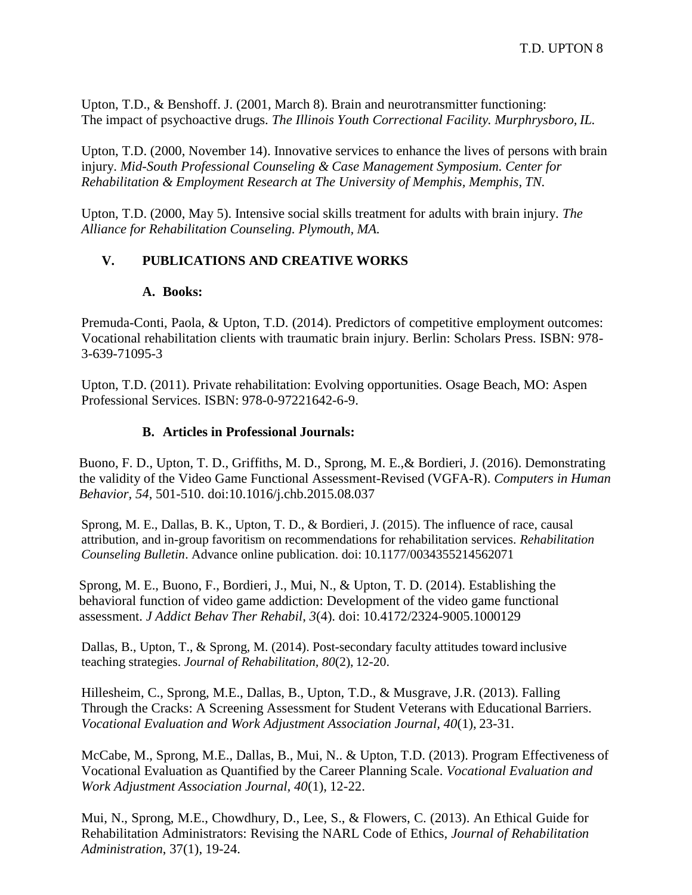Upton, T.D., & Benshoff. J. (2001, March 8). Brain and neurotransmitter functioning: The impact of psychoactive drugs. *The Illinois Youth Correctional Facility. Murphrysboro, IL.*

Upton, T.D. (2000, November 14). Innovative services to enhance the lives of persons with brain injury. *Mid-South Professional Counseling & Case Management Symposium. Center for Rehabilitation & Employment Research at The University of Memphis, Memphis, TN.*

Upton, T.D. (2000, May 5). Intensive social skills treatment for adults with brain injury. *The Alliance for Rehabilitation Counseling. Plymouth, MA.*

## **V. PUBLICATIONS AND CREATIVE WORKS**

#### **A. Books:**

Premuda-Conti, Paola, & Upton, T.D. (2014). Predictors of competitive employment outcomes: Vocational rehabilitation clients with traumatic brain injury. Berlin: Scholars Press. ISBN: 978- 3-639-71095-3

Upton, T.D. (2011). Private rehabilitation: Evolving opportunities. Osage Beach, MO: Aspen Professional Services. ISBN: 978-0-97221642-6-9.

### **B. Articles in Professional Journals:**

Buono, F. D., Upton, T. D., Griffiths, M. D., Sprong, M. E.,& Bordieri, J. (2016). Demonstrating the validity of the Video Game Functional Assessment-Revised (VGFA-R). *Computers in Human Behavior, 54*, 501-510. doi:10.1016/j.chb.2015.08.037

Sprong, M. E., Dallas, B. K., Upton, T. D., & Bordieri, J. (2015). The influence of race, causal attribution, and in-group favoritism on recommendations for rehabilitation services. *Rehabilitation Counseling Bulletin*. Advance online publication. doi: 10.1177/0034355214562071

Sprong, M. E., Buono, F., Bordieri, J., Mui, N., & Upton, T. D. (2014). Establishing the behavioral function of video game addiction: Development of the video game functional assessment. *J Addict Behav Ther Rehabil*, *3*(4). doi: 10.4172/2324-9005.1000129

Dallas, B., Upton, T., & Sprong, M. (2014). Post-secondary faculty attitudes toward inclusive teaching strategies. *Journal of Rehabilitation, 80*(2), 12-20.

Hillesheim, C., Sprong, M.E., Dallas, B., Upton, T.D., & Musgrave, J.R. (2013). Falling Through the Cracks: A Screening Assessment for Student Veterans with Educational Barriers. *Vocational Evaluation and Work Adjustment Association Journal, 40*(1), 23-31.

McCabe, M., Sprong, M.E., Dallas, B., Mui, N.. & Upton, T.D. (2013). Program Effectiveness of Vocational Evaluation as Quantified by the Career Planning Scale. *Vocational Evaluation and Work Adjustment Association Journal, 40*(1), 12-22.

Mui, N., Sprong, M.E., Chowdhury, D., Lee, S., & Flowers, C. (2013). An Ethical Guide for Rehabilitation Administrators: Revising the NARL Code of Ethics, *Journal of Rehabilitation Administration*, 37(1), 19-24.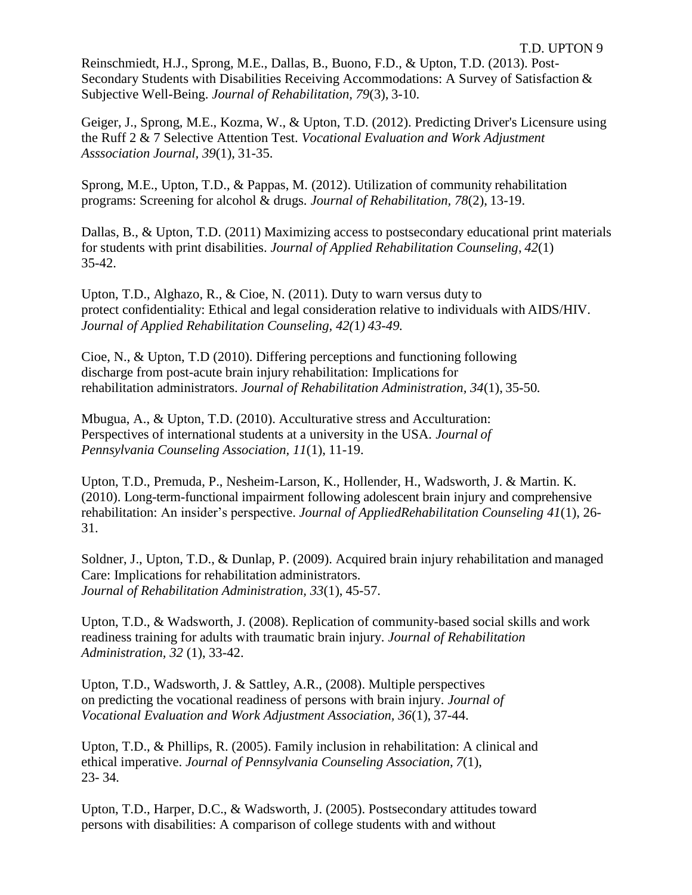Reinschmiedt, H.J., Sprong, M.E., Dallas, B., Buono, F.D., & Upton, T.D. (2013). Post-Secondary Students with Disabilities Receiving Accommodations: A Survey of Satisfaction & Subjective Well-Being. *Journal of Rehabilitation, 79*(3), 3-10.

Geiger, J., Sprong, M.E., Kozma, W., & Upton, T.D. (2012). Predicting Driver's Licensure using the Ruff 2 & 7 Selective Attention Test. *Vocational Evaluation and Work Adjustment Asssociation Journal, 39*(1), 31-35.

Sprong, M.E., Upton, T.D., & Pappas, M. (2012). Utilization of community rehabilitation programs: Screening for alcohol & drugs. *Journal of Rehabilitation, 78*(2), 13-19.

Dallas, B., & Upton, T.D. (2011) Maximizing access to postsecondary educational print materials for students with print disabilities. *Journal of Applied Rehabilitation Counseling*, *42*(1) 35-42.

Upton, T.D., Alghazo, R., & Cioe, N. (2011). Duty to warn versus duty to protect confidentiality: Ethical and legal consideration relative to individuals with AIDS/HIV. *Journal of Applied Rehabilitation Counseling, 42(*1*) 43-49.*

Cioe, N., & Upton, T.D (2010). Differing perceptions and functioning following discharge from post-acute brain injury rehabilitation: Implications for rehabilitation administrators. *Journal of Rehabilitation Administration, 34*(1), 35-50*.*

Mbugua, A., & Upton, T.D. (2010). Acculturative stress and Acculturation: Perspectives of international students at a university in the USA*. Journal of Pennsylvania Counseling Association, 11*(1), 11-19.

Upton, T.D., Premuda, P., Nesheim-Larson, K., Hollender, H., Wadsworth, J. & Martin. K. (2010). Long-term-functional impairment following adolescent brain injury and comprehensive rehabilitation: An insider's perspective. *Journal of AppliedRehabilitation Counseling 41*(1), 26- 31.

Soldner, J., Upton, T.D., & Dunlap, P. (2009). Acquired brain injury rehabilitation and managed Care: Implications for rehabilitation administrators. *Journal of Rehabilitation Administration, 33*(1), 45-57.

Upton, T.D., & Wadsworth, J. (2008). Replication of community-based social skills and work readiness training for adults with traumatic brain injury. *Journal of Rehabilitation Administration, 32* (1), 33-42.

Upton, T.D., Wadsworth, J. & Sattley, A.R., (2008). Multiple perspectives on predicting the vocational readiness of persons with brain injury. *Journal of Vocational Evaluation and Work Adjustment Association, 36*(1), 37-44.

Upton, T.D., & Phillips, R. (2005). Family inclusion in rehabilitation: A clinical and ethical imperative. *Journal of Pennsylvania Counseling Association, 7*(1), 23- 34*.*

Upton, T.D., Harper, D.C., & Wadsworth, J. (2005). Postsecondary attitudes toward persons with disabilities: A comparison of college students with and without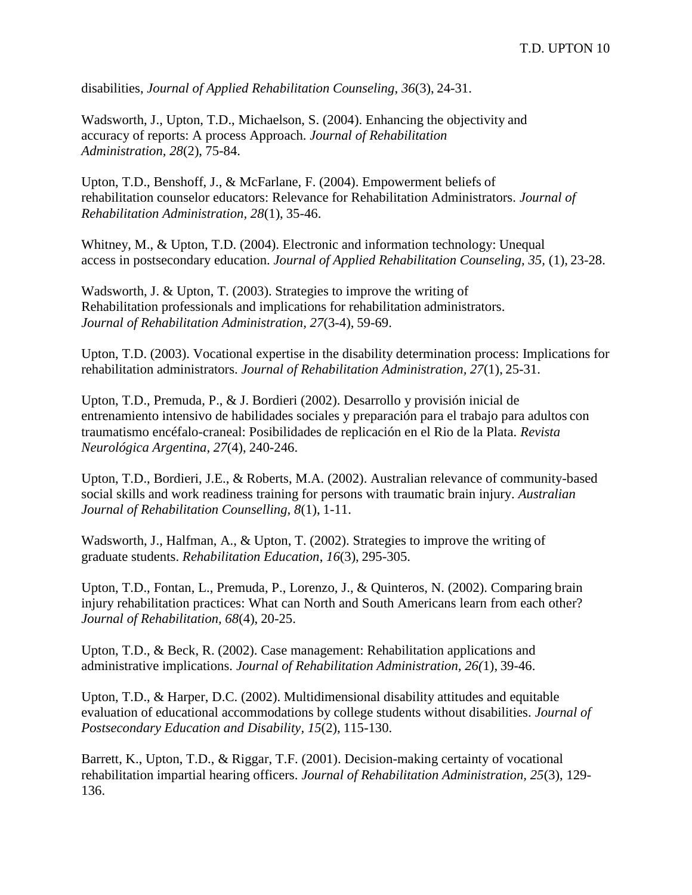disabilities, *Journal of Applied Rehabilitation Counseling*, *36*(3), 24-31.

Wadsworth, J., Upton, T.D., Michaelson, S. (2004). Enhancing the objectivity and accuracy of reports: A process Approach. *Journal of Rehabilitation Administration, 28*(2), 75-84.

Upton, T.D., Benshoff, J., & McFarlane, F. (2004). Empowerment beliefs of rehabilitation counselor educators: Relevance for Rehabilitation Administrators. *Journal of Rehabilitation Administration, 28*(1), 35-46.

Whitney, M., & Upton, T.D. (2004). Electronic and information technology: Unequal access in postsecondary education. *Journal of Applied Rehabilitation Counseling, 35,* (1), 23-28.

Wadsworth, J. & Upton, T. (2003). Strategies to improve the writing of Rehabilitation professionals and implications for rehabilitation administrators. *Journal of Rehabilitation Administration, 27*(3-4), 59-69.

Upton, T.D. (2003). Vocational expertise in the disability determination process: Implications for rehabilitation administrators. *Journal of Rehabilitation Administration, 27*(1), 25-31.

Upton, T.D., Premuda, P., & J. Bordieri (2002). Desarrollo y provisión inicial de entrenamiento intensivo de habilidades sociales y preparación para el trabajo para adultos con traumatismo encéfalo-craneal: Posibilidades de replicación en el Rio de la Plata. *Revista Neurológica Argentina, 27*(4), 240-246.

Upton, T.D., Bordieri, J.E., & Roberts, M.A. (2002). Australian relevance of community-based social skills and work readiness training for persons with traumatic brain injury. *Australian Journal of Rehabilitation Counselling, 8*(1), 1-11.

Wadsworth, J., Halfman, A., & Upton, T. (2002). Strategies to improve the writing of graduate students. *Rehabilitation Education*, *16*(3), 295-305.

Upton, T.D., Fontan, L., Premuda, P., Lorenzo, J., & Quinteros, N. (2002). Comparing brain injury rehabilitation practices: What can North and South Americans learn from each other? *Journal of Rehabilitation, 68*(4), 20-25.

Upton, T.D., & Beck, R. (2002). Case management: Rehabilitation applications and administrative implications. *Journal of Rehabilitation Administration, 26(*1), 39-46.

Upton, T.D., & Harper, D.C. (2002). Multidimensional disability attitudes and equitable evaluation of educational accommodations by college students without disabilities. *Journal of Postsecondary Education and Disability, 15*(2), 115-130.

Barrett, K., Upton, T.D., & Riggar, T.F. (2001). Decision-making certainty of vocational rehabilitation impartial hearing officers. *Journal of Rehabilitation Administration, 25*(3), 129- 136.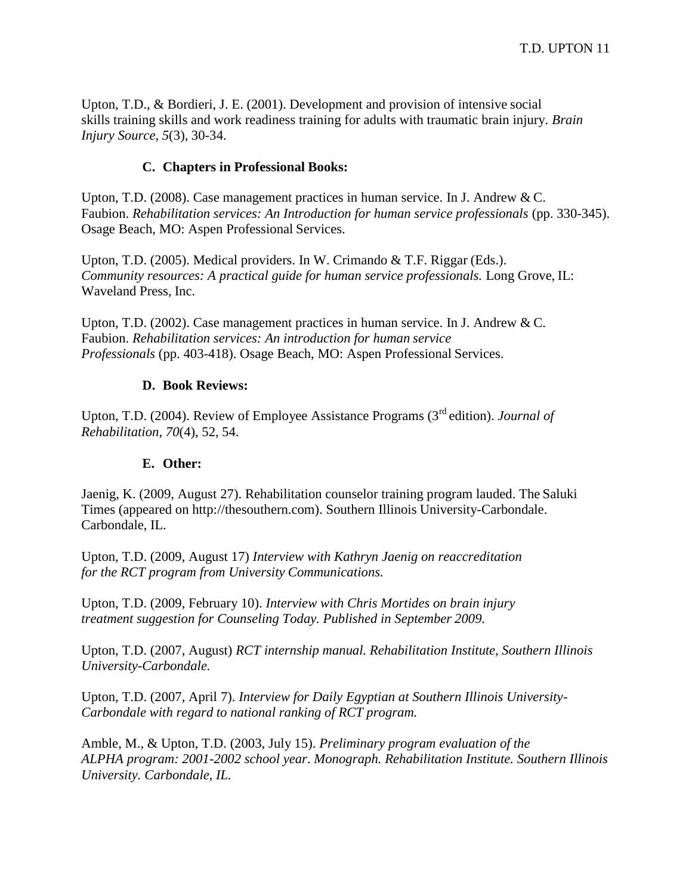Upton, T.D., & Bordieri, J. E. (2001). Development and provision of intensive social skills training skills and work readiness training for adults with traumatic brain injury. *Brain Injury Source, 5*(3), 30-34.

### **C. Chapters in Professional Books:**

Upton, T.D. (2008). Case management practices in human service. In J. Andrew & C. Faubion. *Rehabilitation services: An Introduction for human service professionals* (pp. 330-345). Osage Beach, MO: Aspen Professional Services.

Upton, T.D. (2005). Medical providers. In W. Crimando & T.F. Riggar (Eds.). *Community resources: A practical guide for human service professionals. Long Grove, IL:* Waveland Press, Inc.

Upton, T.D. (2002). Case management practices in human service. In J. Andrew & C. Faubion. *Rehabilitation services: An introduction for human service Professionals* (pp. 403-418). Osage Beach, MO: Aspen Professional Services.

### **D. Book Reviews:**

Upton, T.D. (2004). Review of Employee Assistance Programs (3rd edition). *Journal of Rehabilitation, 70*(4), 52, 54.

## **E. Other:**

Jaenig, K. (2009, August 27). Rehabilitation counselor training program lauded. The Saluki Times (appeared on http://thesouthern.com). Southern Illinois University-Carbondale. Carbondale, IL.

Upton, T.D. (2009, August 17) *Interview with Kathryn Jaenig on reaccreditation for the RCT program from University Communications.*

Upton, T.D. (2009, February 10). *Interview with Chris Mortides on brain injury treatment suggestion for Counseling Today. Published in September 2009.*

Upton, T.D. (2007, August) *RCT internship manual. Rehabilitation Institute, Southern Illinois University-Carbondale.*

Upton, T.D. (2007, April 7). *Interview for Daily Egyptian at Southern Illinois University-Carbondale with regard to national ranking of RCT program.*

Amble, M., & Upton, T.D. (2003, July 15). *Preliminary program evaluation of the ALPHA program: 2001-2002 school year*. *Monograph. Rehabilitation Institute. Southern Illinois University. Carbondale, IL.*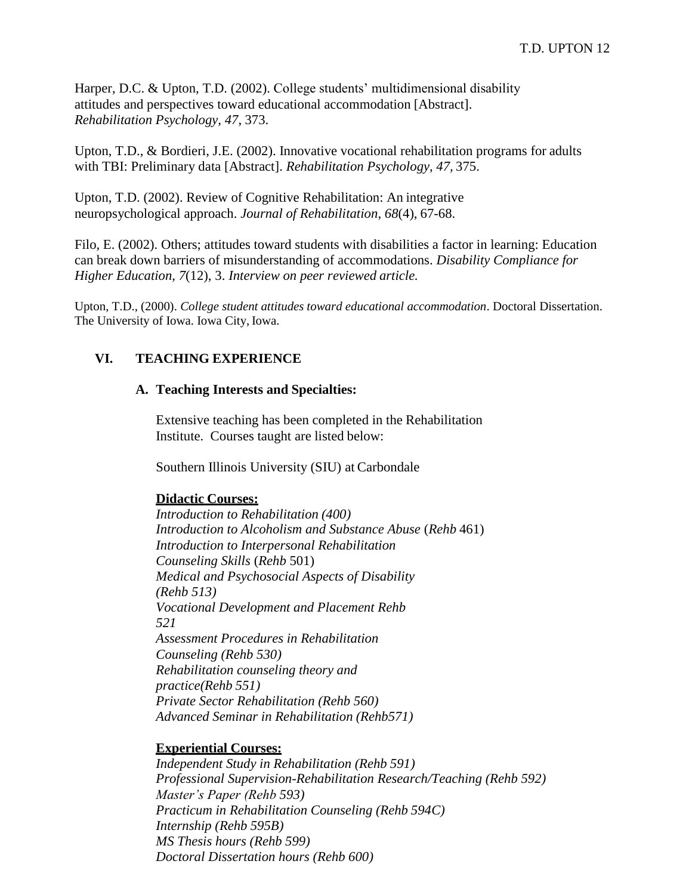Harper, D.C. & Upton, T.D. (2002). College students' multidimensional disability attitudes and perspectives toward educational accommodation [Abstract]. *Rehabilitation Psychology, 47*, 373.

Upton, T.D., & Bordieri, J.E. (2002). Innovative vocational rehabilitation programs for adults with TBI: Preliminary data [Abstract]. *Rehabilitation Psychology, 47,* 375.

Upton, T.D. (2002). Review of Cognitive Rehabilitation: An integrative neuropsychological approach. *Journal of Rehabilitation*, *68*(4), 67-68.

Filo, E. (2002). Others; attitudes toward students with disabilities a factor in learning: Education can break down barriers of misunderstanding of accommodations. *Disability Compliance for Higher Education, 7*(12), 3. *Interview on peer reviewed article.*

Upton, T.D., (2000). *College student attitudes toward educational accommodation*. Doctoral Dissertation. The University of Iowa. Iowa City, Iowa.

## **VI. TEACHING EXPERIENCE**

#### **A. Teaching Interests and Specialties:**

Extensive teaching has been completed in the Rehabilitation Institute. Courses taught are listed below:

Southern Illinois University (SIU) at Carbondale

#### **Didactic Courses:**

*Introduction to Rehabilitation (400) Introduction to Alcoholism and Substance Abuse* (*Rehb* 461) *Introduction to Interpersonal Rehabilitation Counseling Skills* (*Rehb* 501) *Medical and Psychosocial Aspects of Disability (Rehb 513) Vocational Development and Placement Rehb 521 Assessment Procedures in Rehabilitation Counseling (Rehb 530) Rehabilitation counseling theory and practice(Rehb 551) Private Sector Rehabilitation (Rehb 560) Advanced Seminar in Rehabilitation (Rehb571)*

## **Experiential Courses:**

*Independent Study in Rehabilitation (Rehb 591) Professional Supervision-Rehabilitation Research/Teaching (Rehb 592) Master's Paper (Rehb 593) Practicum in Rehabilitation Counseling (Rehb 594C) Internship (Rehb 595B) MS Thesis hours (Rehb 599) Doctoral Dissertation hours (Rehb 600)*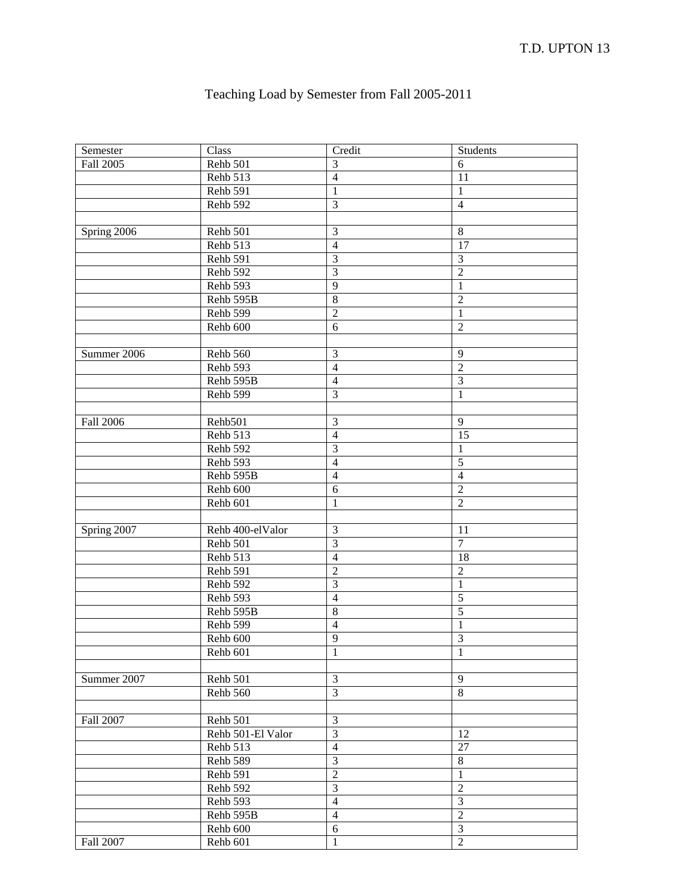| Teaching Load by Semester from Fall 2005-2011 |
|-----------------------------------------------|
|-----------------------------------------------|

| Semester         | Class             | Credit           | Students         |
|------------------|-------------------|------------------|------------------|
| Fall 2005        | Rehb 501          | $\mathfrak{Z}$   | 6                |
|                  | Rehb 513          | $\overline{4}$   | 11               |
|                  | Rehb 591          | $\mathbf{1}$     | $\mathbf{1}$     |
|                  | Rehb 592          | $\mathfrak{Z}$   | $\overline{4}$   |
|                  |                   |                  |                  |
| Spring 2006      | Rehb 501          | $\mathfrak{Z}$   | $\,8\,$          |
|                  | Rehb 513          | $\overline{4}$   | 17               |
|                  | Rehb 591          | $\mathfrak{Z}$   | $\mathfrak{Z}$   |
|                  | Rehb 592          | 3                | $\overline{c}$   |
|                  | Rehb 593          | $\overline{9}$   | $\,1\,$          |
|                  | Rehb 595B         | $\overline{8}$   | $\overline{c}$   |
|                  | Rehb 599          | $\sqrt{2}$       | $\mathbf{1}$     |
|                  | Rehb 600          | 6                | $\overline{2}$   |
|                  |                   |                  |                  |
| Summer 2006      | Rehb 560          | $\mathfrak{Z}$   | 9                |
|                  | Rehb 593          | $\overline{4}$   | $\boldsymbol{2}$ |
|                  | Rehb 595B         | $\overline{4}$   | $\mathfrak{Z}$   |
|                  | Rehb 599          | $\mathfrak{Z}$   | 1                |
|                  |                   |                  |                  |
| <b>Fall 2006</b> | Rehb501           | $\mathfrak{Z}$   | 9                |
|                  | Rehb 513          | $\overline{4}$   | 15               |
|                  | Rehb 592          | $\mathfrak{Z}$   | $\mathbf{1}$     |
|                  | Rehb 593          | $\overline{4}$   | $\overline{5}$   |
|                  | Rehb 595B         | $\overline{4}$   | $\overline{4}$   |
|                  | Rehb 600          | $\sqrt{6}$       | $\overline{2}$   |
|                  | Rehb 601          | $\mathbf{1}$     | $\overline{2}$   |
|                  |                   |                  |                  |
| Spring 2007      | Rehb 400-elValor  | $\mathfrak{Z}$   | 11               |
|                  | Rehb 501          | $\mathfrak{Z}$   | $\overline{7}$   |
|                  | Rehb 513          | $\overline{4}$   | 18               |
|                  | Rehb 591          | $\boldsymbol{2}$ | $\sqrt{2}$       |
|                  | Rehb 592          | $\mathfrak{Z}$   | $\,1\,$          |
|                  | Rehb 593          | $\overline{4}$   | $\overline{5}$   |
|                  | Rehb 595B         | $\,8\,$          | $\overline{5}$   |
|                  | Rehb 599          | $\overline{4}$   | $\mathbf{1}$     |
|                  | Rehb 600          | 9                | 3                |
|                  | Rehb 601          | 1                | 1                |
|                  |                   |                  |                  |
| Summer 2007      | Rehb 501          | 3                | 9                |
|                  | Rehb 560          | $\overline{3}$   | 8                |
|                  |                   |                  |                  |
| Fall 2007        | Rehb 501          | $\mathfrak{Z}$   |                  |
|                  | Rehb 501-El Valor | $\overline{3}$   | 12               |
|                  | Rehb 513          | $\overline{4}$   | 27               |
|                  | Rehb 589          | $\overline{3}$   | $\,8\,$          |
|                  | Rehb 591          | $\overline{2}$   | $\mathbf{1}$     |
|                  | Rehb 592          | $\overline{3}$   | $\overline{2}$   |
|                  | Rehb 593          | $\overline{4}$   | 3                |
|                  | Rehb 595B         | $\overline{4}$   | $\overline{2}$   |
|                  | Rehb 600          | 6                | $\overline{3}$   |
| Fall 2007        | Rehb 601          | $\mathbf{1}$     | $\overline{2}$   |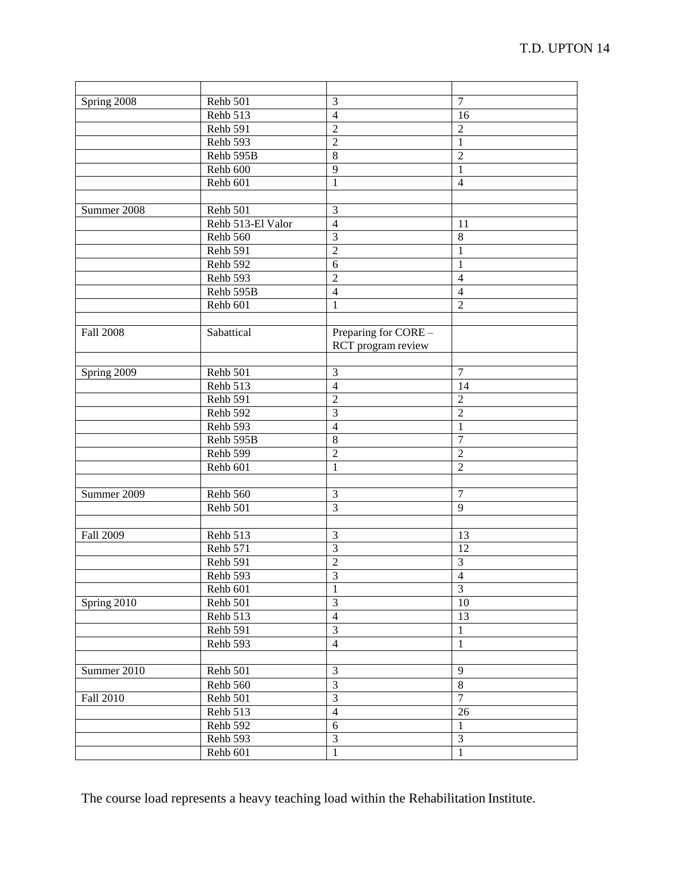| Spring 2008      | Rehb 501          | 3                                          | $\overline{7}$          |
|------------------|-------------------|--------------------------------------------|-------------------------|
|                  | Rehb 513          | $\overline{4}$                             | 16                      |
|                  | Rehb 591          | $\overline{2}$                             | $\overline{2}$          |
|                  | Rehb 593          | $\overline{2}$                             | 1                       |
|                  | Rehb 595B         | 8                                          | $\overline{2}$          |
|                  | Rehb 600          | 9                                          | $\mathbf{1}$            |
|                  | Rehb 601          | $\mathbf{1}$                               | $\overline{4}$          |
|                  |                   |                                            |                         |
| Summer 2008      | Rehb 501          | 3                                          |                         |
|                  | Rehb 513-El Valor | $\overline{4}$                             | 11                      |
|                  | Rehb 560          | $\overline{3}$                             | 8                       |
|                  | Rehb 591          | $\overline{2}$                             | 1                       |
|                  | Rehb 592          | 6                                          | 1                       |
|                  | Rehb 593          | $\overline{2}$                             | $\overline{4}$          |
|                  | Rehb 595B         | $\overline{4}$                             | $\overline{4}$          |
|                  | Rehb 601          | $\mathbf{1}$                               | $\overline{2}$          |
|                  |                   |                                            |                         |
| <b>Fall 2008</b> | Sabattical        | Preparing for CORE -<br>RCT program review |                         |
|                  |                   |                                            |                         |
| Spring 2009      | Rehb 501          | 3                                          | $\overline{7}$          |
|                  | Rehb 513          | $\overline{4}$                             | 14                      |
|                  | Rehb 591          | $\overline{2}$                             | $\overline{2}$          |
|                  | Rehb 592          | $\overline{3}$                             | $\overline{2}$          |
|                  | Rehb 593          | $\overline{4}$                             | $\mathbf{1}$            |
|                  | Rehb 595B         | $\overline{8}$                             | $\overline{7}$          |
|                  | Rehb 599          | $\overline{2}$                             | $\overline{2}$          |
|                  | Rehb 601          | $\mathbf{1}$                               | $\overline{2}$          |
|                  |                   |                                            |                         |
| Summer 2009      | Rehb 560          | 3                                          | $\tau$                  |
|                  | Rehb 501          | 3                                          | 9                       |
|                  |                   |                                            |                         |
| Fall 2009        | Rehb 513          | 3                                          | 13                      |
|                  | Rehb 571          | 3                                          | 12                      |
|                  | Rehb 591          | $\overline{2}$                             | 3                       |
|                  | Rehb 593          | 3                                          | $\overline{4}$          |
|                  | Rehb 601          | $\,1\,$                                    | $\overline{\mathbf{3}}$ |
| Spring 2010      | Rehb 501          | 3                                          | 10                      |
|                  | Rehb 513          | $\overline{4}$                             | 13                      |
|                  | Rehb 591          | $\mathfrak{Z}$                             | $\mathbf{1}$            |
|                  | Rehb 593          | $\overline{4}$                             | $\mathbf{1}$            |
|                  |                   |                                            |                         |
| Summer 2010      | Rehb 501          | 3                                          | 9                       |
|                  | Rehb 560          | $\overline{3}$                             | $\overline{8}$          |
| Fall 2010        | Rehb 501          | $\overline{3}$                             | 7                       |
|                  | Rehb 513          | $\overline{4}$                             | 26                      |
|                  | Rehb 592          | 6                                          | $\mathbf{1}$            |
|                  | Rehb 593          | $\overline{3}$                             | $\overline{3}$          |
|                  | Rehb 601          | $\overline{1}$                             | $\,1$                   |

The course load represents a heavy teaching load within the Rehabilitation Institute.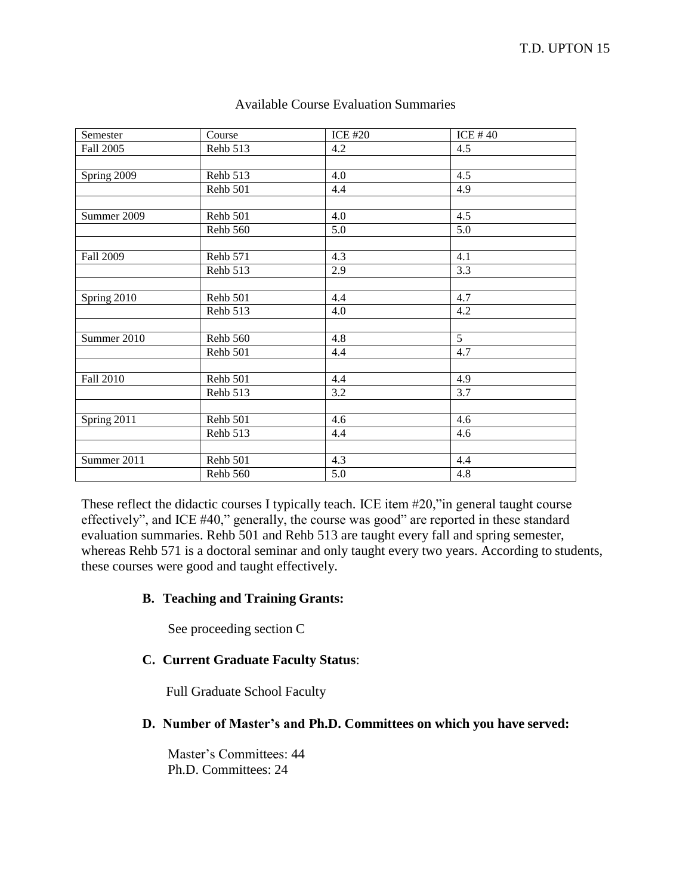| Semester    | Course   | <b>ICE #20</b> | ICE #40     |
|-------------|----------|----------------|-------------|
| Fall 2005   | Rehb 513 | 4.2            | 4.5         |
|             |          |                |             |
| Spring 2009 | Rehb 513 | 4.0            | 4.5         |
|             | Rehb 501 | 4.4            | 4.9         |
|             |          |                |             |
| Summer 2009 | Rehb 501 | 4.0            | 4.5         |
|             | Rehb 560 | 5.0            | 5.0         |
|             |          |                |             |
| Fall 2009   | Rehb 571 | 4.3            | 4.1         |
|             | Rehb 513 | 2.9            | 3.3         |
|             |          |                |             |
| Spring 2010 | Rehb 501 | 4.4            | 4.7         |
|             | Rehb 513 | 4.0            | 4.2         |
|             |          |                |             |
| Summer 2010 | Rehb 560 | 4.8            | $5^{\circ}$ |
|             | Rehb 501 | 4.4            | 4.7         |
|             |          |                |             |
| Fall 2010   | Rehb 501 | 4.4            | 4.9         |
|             | Rehb 513 | 3.2            | 3.7         |
|             |          |                |             |
| Spring 2011 | Rehb 501 | 4.6            | 4.6         |
|             | Rehb 513 | 4.4            | 4.6         |
|             |          |                |             |
| Summer 2011 | Rehb 501 | 4.3            | 4.4         |
|             | Rehb 560 | 5.0            | 4.8         |

### Available Course Evaluation Summaries

These reflect the didactic courses I typically teach. ICE item #20,"in general taught course effectively", and ICE #40," generally, the course was good" are reported in these standard evaluation summaries. Rehb 501 and Rehb 513 are taught every fall and spring semester, whereas Rehb 571 is a doctoral seminar and only taught every two years. According to students, these courses were good and taught effectively.

## **B. Teaching and Training Grants:**

See proceeding section C

# **C. Current Graduate Faculty Status**:

Full Graduate School Faculty

# **D. Number of Master's and Ph.D. Committees on which you have served:**

Master's Committees: 44 Ph.D. Committees: 24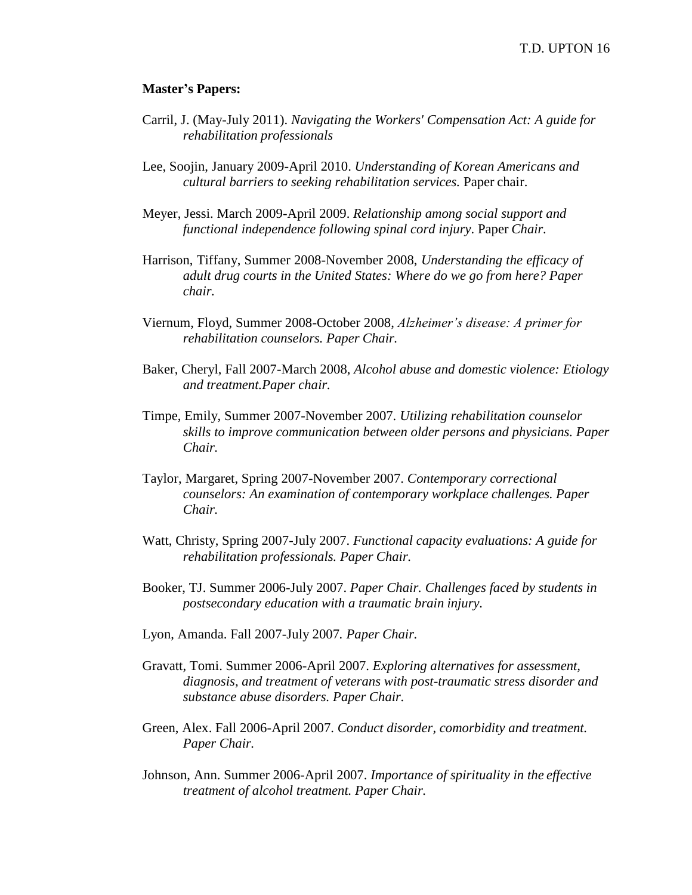#### **Master's Papers:**

- Carril, J. (May-July 2011). *Navigating the Workers' Compensation Act: A guide for rehabilitation professionals*
- Lee, Soojin, January 2009-April 2010. *Understanding of Korean Americans and cultural barriers to seeking rehabilitation services.* Paper chair.
- Meyer, Jessi. March 2009-April 2009. *Relationship among social support and functional independence following spinal cord injury*. Paper *Chair.*
- Harrison, Tiffany, Summer 2008-November 2008, *Understanding the efficacy of adult drug courts in the United States: Where do we go from here? Paper chair.*
- Viernum, Floyd, Summer 2008-October 2008, *Alzheimer's disease: A primer for rehabilitation counselors. Paper Chair.*
- Baker, Cheryl, Fall 2007-March 2008, *Alcohol abuse and domestic violence: Etiology and treatment.Paper chair.*
- Timpe, Emily, Summer 2007-November 2007. *Utilizing rehabilitation counselor skills to improve communication between older persons and physicians. Paper Chair.*
- Taylor, Margaret, Spring 2007-November 2007. *Contemporary correctional counselors: An examination of contemporary workplace challenges. Paper Chair.*
- Watt, Christy, Spring 2007-July 2007. *Functional capacity evaluations: A guide for rehabilitation professionals. Paper Chair.*
- Booker, TJ. Summer 2006-July 2007. *Paper Chair. Challenges faced by students in postsecondary education with a traumatic brain injury.*
- Lyon, Amanda. Fall 2007-July 2007*. Paper Chair.*
- Gravatt, Tomi. Summer 2006-April 2007. *Exploring alternatives for assessment, diagnosis, and treatment of veterans with post-traumatic stress disorder and substance abuse disorders. Paper Chair.*
- Green, Alex. Fall 2006-April 2007. *Conduct disorder, comorbidity and treatment. Paper Chair.*
- Johnson, Ann. Summer 2006-April 2007. *Importance of spirituality in the effective treatment of alcohol treatment. Paper Chair.*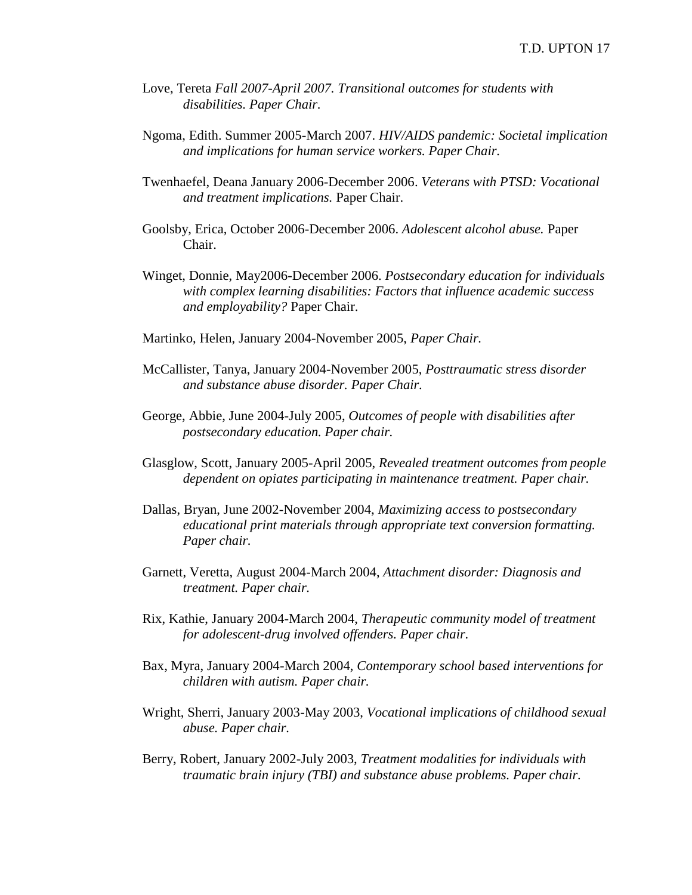- Love, Tereta *Fall 2007-April 2007. Transitional outcomes for students with disabilities. Paper Chair.*
- Ngoma, Edith. Summer 2005-March 2007. *HIV/AIDS pandemic: Societal implication and implications for human service workers. Paper Chair.*
- Twenhaefel, Deana January 2006-December 2006. *Veterans with PTSD: Vocational and treatment implications.* Paper Chair.
- Goolsby, Erica, October 2006-December 2006. *Adolescent alcohol abuse.* Paper Chair.
- Winget, Donnie, May2006-December 2006. *Postsecondary education for individuals with complex learning disabilities: Factors that influence academic success and employability?* Paper Chair.
- Martinko, Helen, January 2004-November 2005, *Paper Chair.*
- McCallister, Tanya, January 2004-November 2005, *Posttraumatic stress disorder and substance abuse disorder. Paper Chair.*
- George, Abbie, June 2004-July 2005, *Outcomes of people with disabilities after postsecondary education. Paper chair.*
- Glasglow, Scott, January 2005-April 2005, *Revealed treatment outcomes from people dependent on opiates participating in maintenance treatment. Paper chair.*
- Dallas, Bryan, June 2002-November 2004, *Maximizing access to postsecondary educational print materials through appropriate text conversion formatting. Paper chair.*
- Garnett, Veretta, August 2004-March 2004, *Attachment disorder: Diagnosis and treatment. Paper chair.*
- Rix, Kathie, January 2004-March 2004, *Therapeutic community model of treatment for adolescent-drug involved offenders. Paper chair.*
- Bax, Myra, January 2004-March 2004, *Contemporary school based interventions for children with autism. Paper chair.*
- Wright, Sherri, January 2003-May 2003, *Vocational implications of childhood sexual abuse. Paper chair.*
- Berry, Robert, January 2002-July 2003, *Treatment modalities for individuals with traumatic brain injury (TBI) and substance abuse problems. Paper chair.*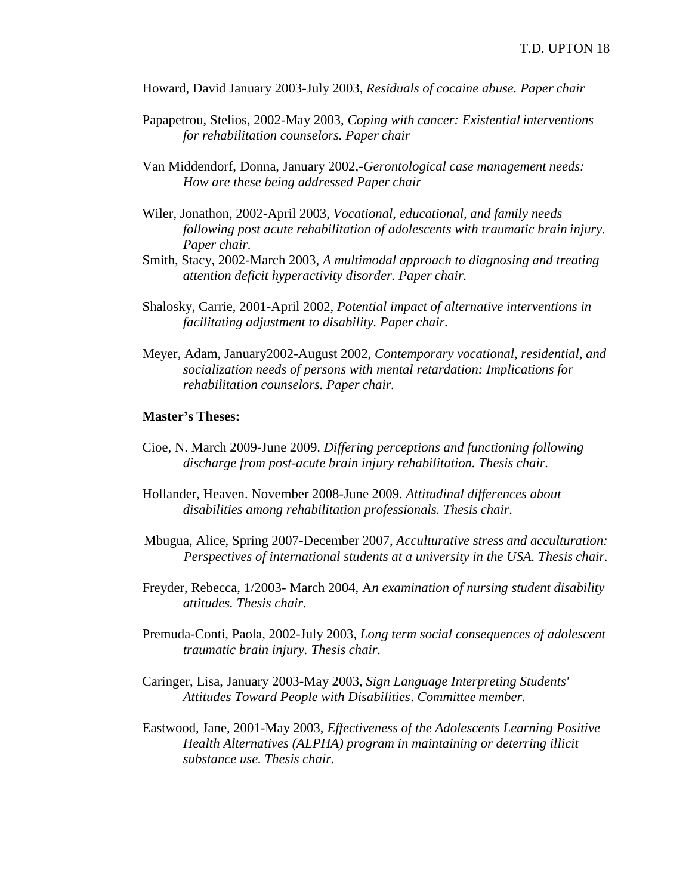Howard, David January 2003-July 2003, *Residuals of cocaine abuse. Paper chair*

- Papapetrou, Stelios, 2002-May 2003, *Coping with cancer: Existential interventions for rehabilitation counselors. Paper chair*
- Van Middendorf, Donna, January 2002,-*Gerontological case management needs: How are these being addressed Paper chair*
- Wiler, Jonathon, 2002-April 2003, *Vocational, educational, and family needs following post acute rehabilitation of adolescents with traumatic brain injury. Paper chair.*
- Smith, Stacy, 2002-March 2003, *A multimodal approach to diagnosing and treating attention deficit hyperactivity disorder. Paper chair.*
- Shalosky, Carrie, 2001-April 2002, *Potential impact of alternative interventions in facilitating adjustment to disability. Paper chair.*
- Meyer, Adam, January2002-August 2002, *Contemporary vocational, residential, and socialization needs of persons with mental retardation: Implications for rehabilitation counselors. Paper chair.*

#### **Master's Theses:**

- Cioe, N. March 2009-June 2009. *Differing perceptions and functioning following discharge from post-acute brain injury rehabilitation. Thesis chair.*
- Hollander, Heaven. November 2008-June 2009. *Attitudinal differences about disabilities among rehabilitation professionals. Thesis chair.*
- Mbugua, Alice, Spring 2007-December 2007, *Acculturative stress and acculturation: Perspectives of international students at a university in the USA. Thesis chair.*
- Freyder, Rebecca, 1/2003- March 2004, A*n examination of nursing student disability attitudes. Thesis chair.*
- Premuda-Conti, Paola, 2002-July 2003, *Long term social consequences of adolescent traumatic brain injury. Thesis chair.*
- Caringer, Lisa, January 2003-May 2003, *Sign Language Interpreting Students' Attitudes Toward People with Disabilities*. *Committee member.*
- Eastwood, Jane, 2001-May 2003, *Effectiveness of the Adolescents Learning Positive Health Alternatives (ALPHA) program in maintaining or deterring illicit substance use. Thesis chair.*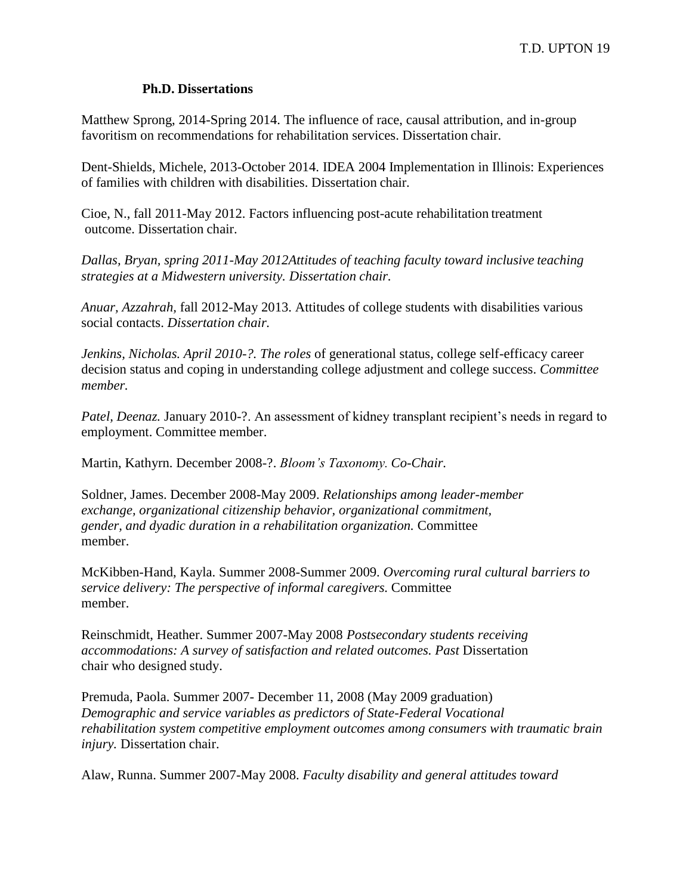### **Ph.D. Dissertations**

Matthew Sprong, 2014-Spring 2014. The influence of race, causal attribution, and in-group favoritism on recommendations for rehabilitation services. Dissertation chair.

Dent-Shields, Michele, 2013-October 2014. IDEA 2004 Implementation in Illinois: Experiences of families with children with disabilities. Dissertation chair.

Cioe, N., fall 2011-May 2012. Factors influencing post-acute rehabilitation treatment outcome. Dissertation chair.

*Dallas, Bryan, spring 2011-May 2012Attitudes of teaching faculty toward inclusive teaching strategies at a Midwestern university. Dissertation chair.*

*Anuar, Azzahrah,* fall 2012-May 2013. Attitudes of college students with disabilities various social contacts. *Dissertation chair.*

*Jenkins, Nicholas. April 2010-?. The roles* of generational status, college self-efficacy career decision status and coping in understanding college adjustment and college success. *Committee member.*

*Patel, Deenaz.* January 2010-?. An assessment of kidney transplant recipient's needs in regard to employment. Committee member.

Martin, Kathyrn. December 2008-?. *Bloom's Taxonomy. Co-Chair.*

Soldner, James. December 2008-May 2009. *Relationships among leader-member exchange, organizational citizenship behavior, organizational commitment, gender, and dyadic duration in a rehabilitation organization.* Committee member.

McKibben-Hand, Kayla. Summer 2008-Summer 2009. *Overcoming rural cultural barriers to service delivery: The perspective of informal caregivers.* Committee member.

Reinschmidt, Heather. Summer 2007-May 2008 *Postsecondary students receiving accommodations: A survey of satisfaction and related outcomes. Past* Dissertation chair who designed study.

Premuda, Paola. Summer 2007- December 11, 2008 (May 2009 graduation) *Demographic and service variables as predictors of State-Federal Vocational rehabilitation system competitive employment outcomes among consumers with traumatic brain injury.* Dissertation chair.

Alaw, Runna. Summer 2007-May 2008. *Faculty disability and general attitudes toward*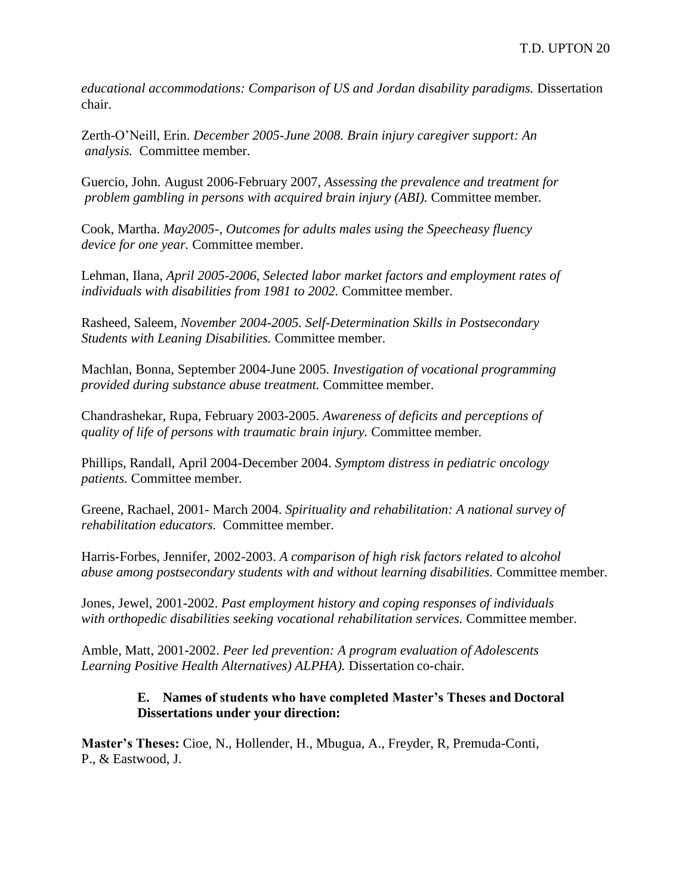*educational accommodations: Comparison of US and Jordan disability paradigms. Dissertation* chair.

Zerth-O'Neill, Erin. *December 2005-June 2008. Brain injury caregiver support: An analysis.* Committee member.

Guercio, John. August 2006-February 2007, *Assessing the prevalence and treatment for problem gambling in persons with acquired brain injury (ABI).* Committee member*.*

Cook, Martha. *May2005-, Outcomes for adults males using the Speecheasy fluency device for one year.* Committee member.

Lehman, Ilana, *April 2005-2006, Selected labor market factors and employment rates of individuals with disabilities from 1981 to 2002.* Committee member.

Rasheed, Saleem, *November 2004-2005. Self-Determination Skills in Postsecondary Students with Leaning Disabilities.* Committee member.

Machlan, Bonna, September 2004-June 2005. *Investigation of vocational programming provided during substance abuse treatment.* Committee member.

Chandrashekar, Rupa, February 2003-2005. *Awareness of deficits and perceptions of quality of life of persons with traumatic brain injury.* Committee member*.*

Phillips, Randall, April 2004-December 2004. *Symptom distress in pediatric oncology patients.* Committee member.

Greene, Rachael, 2001- March 2004. *Spirituality and rehabilitation: A national survey of rehabilitation educators.* Committee member.

Harris-Forbes, Jennifer, 2002-2003. *A comparison of high risk factors related to alcohol abuse among postsecondary students with and without learning disabilities.* Committee member.

Jones, Jewel, 2001-2002. *Past employment history and coping responses of individuals with orthopedic disabilities seeking vocational rehabilitation services.* Committee member.

Amble, Matt, 2001-2002. *Peer led prevention: A program evaluation of Adolescents Learning Positive Health Alternatives) ALPHA).* Dissertation co-chair.

## **E. Names of students who have completed Master's Theses and Doctoral Dissertations under your direction:**

**Master's Theses:** Cioe, N., Hollender, H., Mbugua, A., Freyder, R, Premuda-Conti, P., & Eastwood, J.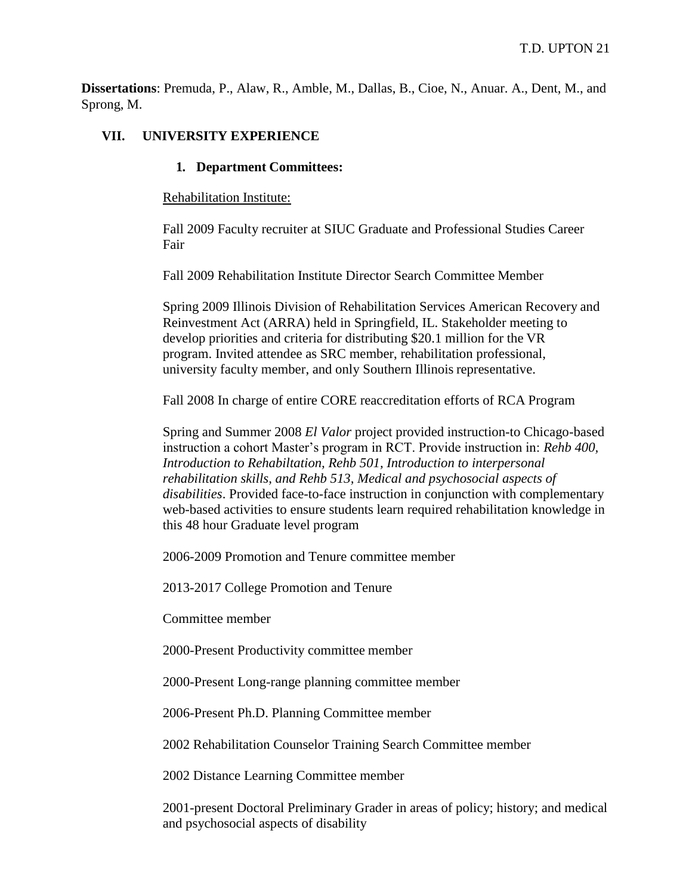**Dissertations**: Premuda, P., Alaw, R., Amble, M., Dallas, B., Cioe, N., Anuar. A., Dent, M., and Sprong, M.

### **VII. UNIVERSITY EXPERIENCE**

#### **1. Department Committees:**

Rehabilitation Institute:

Fall 2009 Faculty recruiter at SIUC Graduate and Professional Studies Career Fair

Fall 2009 Rehabilitation Institute Director Search Committee Member

Spring 2009 Illinois Division of Rehabilitation Services American Recovery and Reinvestment Act (ARRA) held in Springfield, IL. Stakeholder meeting to develop priorities and criteria for distributing \$20.1 million for the VR program. Invited attendee as SRC member, rehabilitation professional, university faculty member, and only Southern Illinois representative.

Fall 2008 In charge of entire CORE reaccreditation efforts of RCA Program

Spring and Summer 2008 *El Valor* project provided instruction-to Chicago-based instruction a cohort Master's program in RCT. Provide instruction in: *Rehb 400, Introduction to Rehabiltation, Rehb 501, Introduction to interpersonal rehabilitation skills, and Rehb 513, Medical and psychosocial aspects of disabilities*. Provided face-to-face instruction in conjunction with complementary web-based activities to ensure students learn required rehabilitation knowledge in this 48 hour Graduate level program

2006-2009 Promotion and Tenure committee member

2013-2017 College Promotion and Tenure

Committee member

2000-Present Productivity committee member

2000-Present Long-range planning committee member

2006-Present Ph.D. Planning Committee member

2002 Rehabilitation Counselor Training Search Committee member

2002 Distance Learning Committee member

2001-present Doctoral Preliminary Grader in areas of policy; history; and medical and psychosocial aspects of disability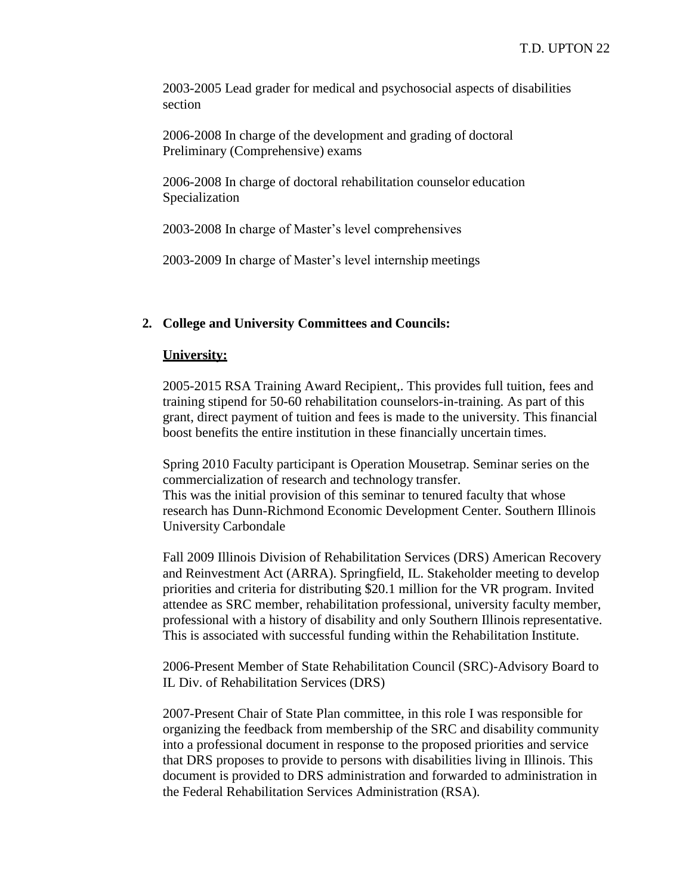2003-2005 Lead grader for medical and psychosocial aspects of disabilities section

2006-2008 In charge of the development and grading of doctoral Preliminary (Comprehensive) exams

2006-2008 In charge of doctoral rehabilitation counselor education Specialization

2003-2008 In charge of Master's level comprehensives

2003-2009 In charge of Master's level internship meetings

#### **2. College and University Committees and Councils:**

#### **University:**

2005-2015 RSA Training Award Recipient,. This provides full tuition, fees and training stipend for 50-60 rehabilitation counselors-in-training. As part of this grant, direct payment of tuition and fees is made to the university. This financial boost benefits the entire institution in these financially uncertain times.

Spring 2010 Faculty participant is Operation Mousetrap. Seminar series on the commercialization of research and technology transfer. This was the initial provision of this seminar to tenured faculty that whose

research has Dunn-Richmond Economic Development Center. Southern Illinois University Carbondale

Fall 2009 Illinois Division of Rehabilitation Services (DRS) American Recovery and Reinvestment Act (ARRA). Springfield, IL. Stakeholder meeting to develop priorities and criteria for distributing \$20.1 million for the VR program. Invited attendee as SRC member, rehabilitation professional, university faculty member, professional with a history of disability and only Southern Illinois representative. This is associated with successful funding within the Rehabilitation Institute.

2006-Present Member of State Rehabilitation Council (SRC)-Advisory Board to IL Div. of Rehabilitation Services (DRS)

2007-Present Chair of State Plan committee, in this role I was responsible for organizing the feedback from membership of the SRC and disability community into a professional document in response to the proposed priorities and service that DRS proposes to provide to persons with disabilities living in Illinois. This document is provided to DRS administration and forwarded to administration in the Federal Rehabilitation Services Administration (RSA).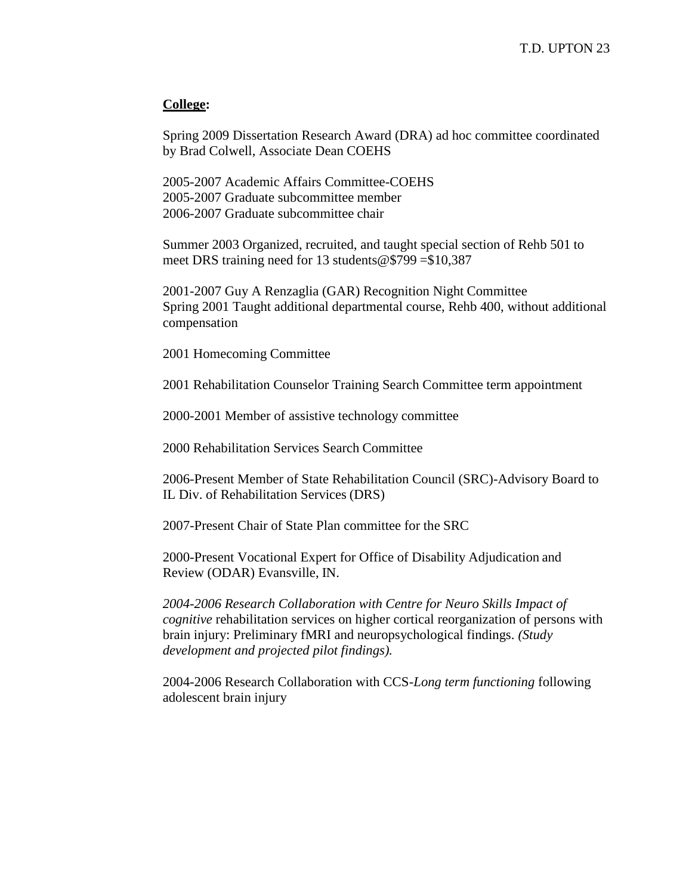#### **College:**

Spring 2009 Dissertation Research Award (DRA) ad hoc committee coordinated by Brad Colwell, Associate Dean COEHS

2005-2007 Academic Affairs Committee-COEHS 2005-2007 Graduate subcommittee member 2006-2007 Graduate subcommittee chair

Summer 2003 Organized, recruited, and taught special section of Rehb 501 to meet DRS training need for 13 students@\$799 =\$10,387

2001-2007 Guy A Renzaglia (GAR) Recognition Night Committee Spring 2001 Taught additional departmental course, Rehb 400, without additional compensation

2001 Homecoming Committee

2001 Rehabilitation Counselor Training Search Committee term appointment

2000-2001 Member of assistive technology committee

2000 Rehabilitation Services Search Committee

2006-Present Member of State Rehabilitation Council (SRC)-Advisory Board to IL Div. of Rehabilitation Services (DRS)

2007-Present Chair of State Plan committee for the SRC

2000-Present Vocational Expert for Office of Disability Adjudication and Review (ODAR) Evansville, IN.

*2004-2006 Research Collaboration with Centre for Neuro Skills Impact of cognitive* rehabilitation services on higher cortical reorganization of persons with brain injury: Preliminary fMRI and neuropsychological findings. *(Study development and projected pilot findings).*

2004-2006 Research Collaboration with CCS-*Long term functioning* following adolescent brain injury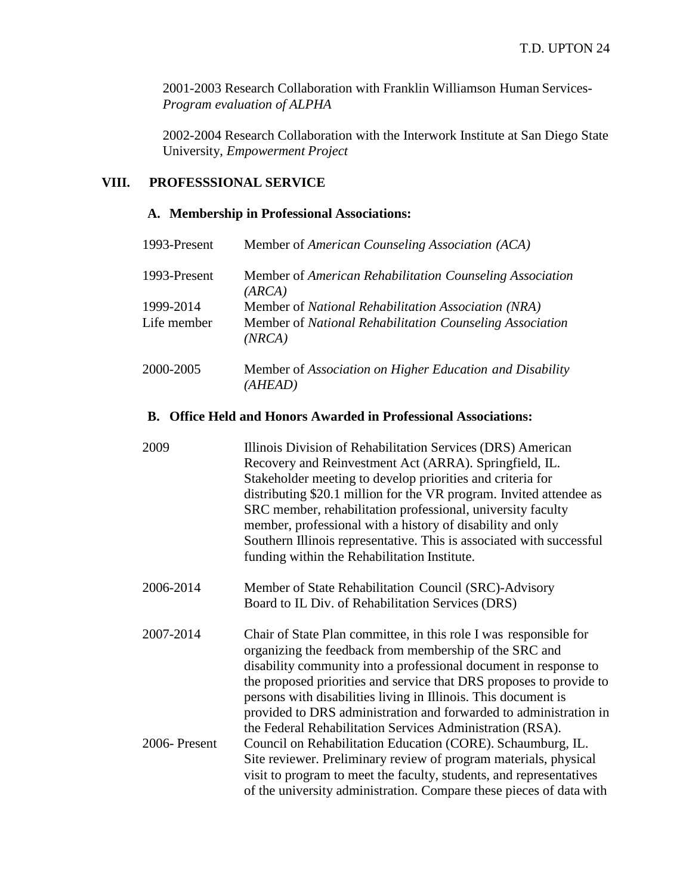2001-2003 Research Collaboration with Franklin Williamson Human Services-*Program evaluation of ALPHA*

2002-2004 Research Collaboration with the Interwork Institute at San Diego State University, *Empowerment Project*

# **VIII. PROFESSSIONAL SERVICE**

## **A. Membership in Professional Associations:**

| 1993-Present | Member of American Counseling Association (ACA)                    |
|--------------|--------------------------------------------------------------------|
| 1993-Present | Member of American Rehabilitation Counseling Association<br>(ARCA) |
| 1999-2014    | Member of National Rehabilitation Association (NRA)                |
| Life member  | Member of National Rehabilitation Counseling Association<br>(NRCA) |
| 2000-2005    | Member of Association on Higher Education and Disability           |
|              | (AHEAD)                                                            |

#### **B. Office Held and Honors Awarded in Professional Associations:**

| 2009         | Illinois Division of Rehabilitation Services (DRS) American<br>Recovery and Reinvestment Act (ARRA). Springfield, IL.<br>Stakeholder meeting to develop priorities and criteria for<br>distributing \$20.1 million for the VR program. Invited attendee as<br>SRC member, rehabilitation professional, university faculty<br>member, professional with a history of disability and only<br>Southern Illinois representative. This is associated with successful<br>funding within the Rehabilitation Institute. |
|--------------|-----------------------------------------------------------------------------------------------------------------------------------------------------------------------------------------------------------------------------------------------------------------------------------------------------------------------------------------------------------------------------------------------------------------------------------------------------------------------------------------------------------------|
| 2006-2014    | Member of State Rehabilitation Council (SRC)-Advisory<br>Board to IL Div. of Rehabilitation Services (DRS)                                                                                                                                                                                                                                                                                                                                                                                                      |
| 2007-2014    | Chair of State Plan committee, in this role I was responsible for<br>organizing the feedback from membership of the SRC and<br>disability community into a professional document in response to<br>the proposed priorities and service that DRS proposes to provide to<br>persons with disabilities living in Illinois. This document is<br>provided to DRS administration and forwarded to administration in<br>the Federal Rehabilitation Services Administration (RSA).                                      |
| 2006-Present | Council on Rehabilitation Education (CORE). Schaumburg, IL.<br>Site reviewer. Preliminary review of program materials, physical<br>visit to program to meet the faculty, students, and representatives<br>of the university administration. Compare these pieces of data with                                                                                                                                                                                                                                   |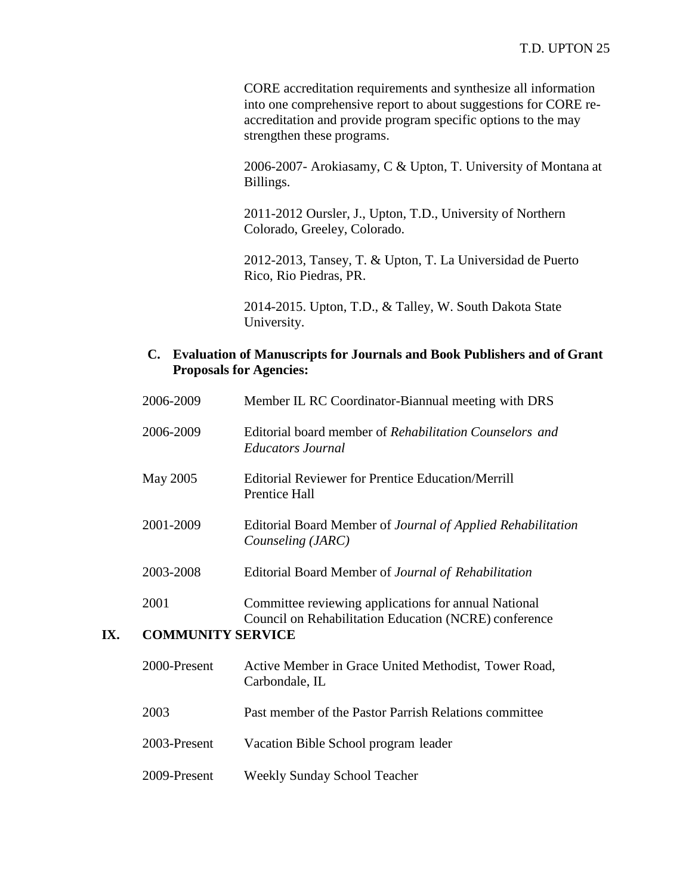CORE accreditation requirements and synthesize all information into one comprehensive report to about suggestions for CORE reaccreditation and provide program specific options to the may strengthen these programs.

2006-2007- Arokiasamy, C & Upton, T. University of Montana at Billings.

2011-2012 Oursler, J., Upton, T.D., University of Northern Colorado, Greeley, Colorado.

2012-2013, Tansey, T. & Upton, T. La Universidad de Puerto Rico, Rio Piedras, PR.

2014-2015. Upton, T.D., & Talley, W. South Dakota State University.

### **C. Evaluation of Manuscripts for Journals and Book Publishers and of Grant Proposals for Agencies:**

|     | 2006-2009                | Member IL RC Coordinator-Biannual meeting with DRS                                                            |
|-----|--------------------------|---------------------------------------------------------------------------------------------------------------|
|     | 2006-2009                | Editorial board member of Rehabilitation Counselors and<br><i>Educators Journal</i>                           |
|     | May 2005                 | <b>Editorial Reviewer for Prentice Education/Merrill</b><br>Prentice Hall                                     |
|     | 2001-2009                | Editorial Board Member of Journal of Applied Rehabilitation<br>Counseling (JARC)                              |
|     | 2003-2008                | Editorial Board Member of Journal of Rehabilitation                                                           |
|     | 2001                     | Committee reviewing applications for annual National<br>Council on Rehabilitation Education (NCRE) conference |
| IX. | <b>COMMUNITY SERVICE</b> |                                                                                                               |
|     | 2000-Present             | Active Member in Grace United Methodist, Tower Road,                                                          |

|              | Carbondale, IL                                        |
|--------------|-------------------------------------------------------|
| 2003         | Past member of the Pastor Parrish Relations committee |
| 2003-Present | Vacation Bible School program leader                  |
| 2009-Present | Weekly Sunday School Teacher                          |